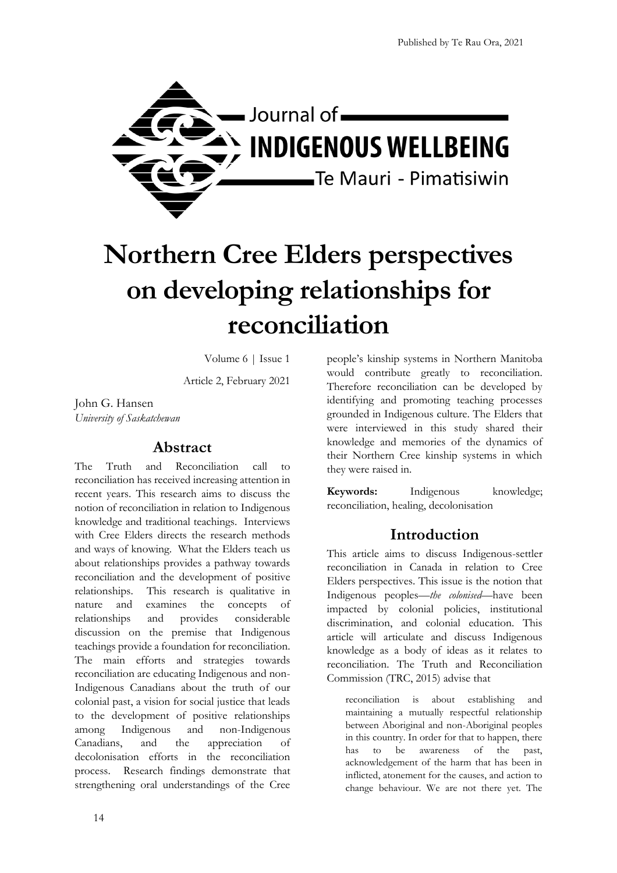

# **Northern Cree Elders perspectives on developing relationships for reconciliation**

Volume 6 | Issue 1

Article 2, February 2021

John G. Hansen *University of Saskatchewan*

## **Abstract**

The Truth and Reconciliation call to reconciliation has received increasing attention in recent years. This research aims to discuss the notion of reconciliation in relation to Indigenous knowledge and traditional teachings. Interviews with Cree Elders directs the research methods and ways of knowing. What the Elders teach us about relationships provides a pathway towards reconciliation and the development of positive relationships. This research is qualitative in nature and examines the concepts of relationships and provides considerable discussion on the premise that Indigenous teachings provide a foundation for reconciliation. The main efforts and strategies towards reconciliation are educating Indigenous and non-Indigenous Canadians about the truth of our colonial past, a vision for social justice that leads to the development of positive relationships among Indigenous and non-Indigenous Canadians, and the appreciation of decolonisation efforts in the reconciliation process. Research findings demonstrate that strengthening oral understandings of the Cree people's kinship systems in Northern Manitoba would contribute greatly to reconciliation. Therefore reconciliation can be developed by identifying and promoting teaching processes grounded in Indigenous culture. The Elders that were interviewed in this study shared their knowledge and memories of the dynamics of their Northern Cree kinship systems in which they were raised in.

**Keywords:** Indigenous knowledge; reconciliation, healing, decolonisation

# **Introduction**

This article aims to discuss Indigenous-settler reconciliation in Canada in relation to Cree Elders perspectives. This issue is the notion that Indigenous peoples—*the colonised*—have been impacted by colonial policies, institutional discrimination, and colonial education. This article will articulate and discuss Indigenous knowledge as a body of ideas as it relates to reconciliation. The Truth and Reconciliation Commission (TRC, 2015) advise that

reconciliation is about establishing and maintaining a mutually respectful relationship between Aboriginal and non-Aboriginal peoples in this country. In order for that to happen, there has to be awareness of the past, acknowledgement of the harm that has been in inflicted, atonement for the causes, and action to change behaviour. We are not there yet. The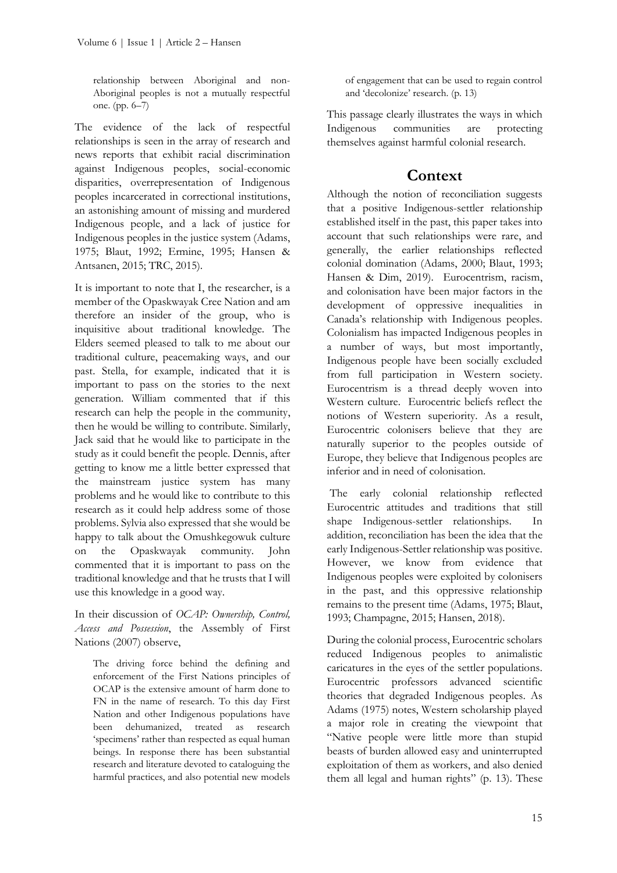relationship between Aboriginal and non-Aboriginal peoples is not a mutually respectful one. (pp. 6–7)

The evidence of the lack of respectful relationships is seen in the array of research and news reports that exhibit racial discrimination against Indigenous peoples, social-economic disparities, overrepresentation of Indigenous peoples incarcerated in correctional institutions, an astonishing amount of missing and murdered Indigenous people, and a lack of justice for Indigenous peoples in the justice system (Adams, 1975; Blaut, 1992; Ermine, 1995; Hansen & Antsanen, 2015; TRC, 2015).

It is important to note that I, the researcher, is a member of the Opaskwayak Cree Nation and am therefore an insider of the group, who is inquisitive about traditional knowledge. The Elders seemed pleased to talk to me about our traditional culture, peacemaking ways, and our past. Stella, for example, indicated that it is important to pass on the stories to the next generation. William commented that if this research can help the people in the community, then he would be willing to contribute. Similarly, Jack said that he would like to participate in the study as it could benefit the people. Dennis, after getting to know me a little better expressed that the mainstream justice system has many problems and he would like to contribute to this research as it could help address some of those problems. Sylvia also expressed that she would be happy to talk about the Omushkegowuk culture on the Opaskwayak community. John commented that it is important to pass on the traditional knowledge and that he trusts that I will use this knowledge in a good way.

In their discussion of *OCAP: Ownership, Control, Access and Possession*, the Assembly of First Nations (2007) observe,

The driving force behind the defining and enforcement of the First Nations principles of OCAP is the extensive amount of harm done to FN in the name of research. To this day First Nation and other Indigenous populations have been dehumanized, treated as research 'specimens' rather than respected as equal human beings. In response there has been substantial research and literature devoted to cataloguing the harmful practices, and also potential new models

of engagement that can be used to regain control and 'decolonize' research. (p. 13)

This passage clearly illustrates the ways in which Indigenous communities are protecting themselves against harmful colonial research.

## **Context**

Although the notion of reconciliation suggests that a positive Indigenous-settler relationship established itself in the past, this paper takes into account that such relationships were rare, and generally, the earlier relationships reflected colonial domination (Adams, 2000; Blaut, 1993; Hansen & Dim, 2019). Eurocentrism, racism, and colonisation have been major factors in the development of oppressive inequalities in Canada's relationship with Indigenous peoples. Colonialism has impacted Indigenous peoples in a number of ways, but most importantly, Indigenous people have been socially excluded from full participation in Western society. Eurocentrism is a thread deeply woven into Western culture. Eurocentric beliefs reflect the notions of Western superiority. As a result, Eurocentric colonisers believe that they are naturally superior to the peoples outside of Europe, they believe that Indigenous peoples are inferior and in need of colonisation.

The early colonial relationship reflected Eurocentric attitudes and traditions that still shape Indigenous-settler relationships. In addition, reconciliation has been the idea that the early Indigenous-Settler relationship was positive. However, we know from evidence that Indigenous peoples were exploited by colonisers in the past, and this oppressive relationship remains to the present time (Adams, 1975; Blaut, 1993; Champagne, 2015; Hansen, 2018).

During the colonial process, Eurocentric scholars reduced Indigenous peoples to animalistic caricatures in the eyes of the settler populations. Eurocentric professors advanced scientific theories that degraded Indigenous peoples. As Adams (1975) notes, Western scholarship played a major role in creating the viewpoint that "Native people were little more than stupid beasts of burden allowed easy and uninterrupted exploitation of them as workers, and also denied them all legal and human rights" (p. 13). These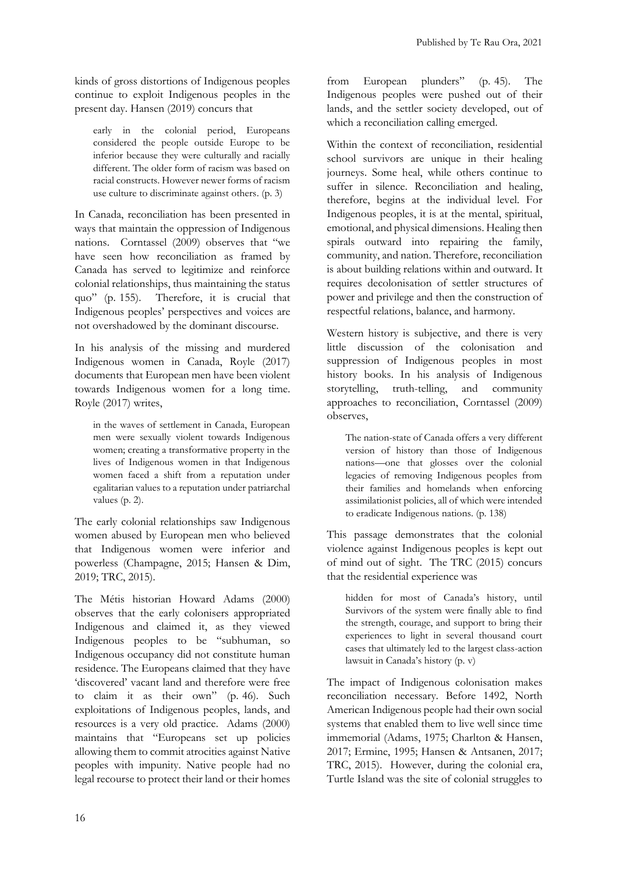kinds of gross distortions of Indigenous peoples continue to exploit Indigenous peoples in the present day. Hansen (2019) concurs that

early in the colonial period, Europeans considered the people outside Europe to be inferior because they were culturally and racially different. The older form of racism was based on racial constructs. However newer forms of racism use culture to discriminate against others. (p. 3)

In Canada, reconciliation has been presented in ways that maintain the oppression of Indigenous nations. Corntassel (2009) observes that "we have seen how reconciliation as framed by Canada has served to legitimize and reinforce colonial relationships, thus maintaining the status quo" (p.-155). Therefore, it is crucial that Indigenous peoples' perspectives and voices are not overshadowed by the dominant discourse.

In his analysis of the missing and murdered Indigenous women in Canada, Royle (2017) documents that European men have been violent towards Indigenous women for a long time. Royle (2017) writes,

in the waves of settlement in Canada, European men were sexually violent towards Indigenous women; creating a transformative property in the lives of Indigenous women in that Indigenous women faced a shift from a reputation under egalitarian values to a reputation under patriarchal values (p. 2).

The early colonial relationships saw Indigenous women abused by European men who believed that Indigenous women were inferior and powerless (Champagne, 2015; Hansen & Dim, 2019; TRC, 2015).

The Métis historian Howard Adams (2000) observes that the early colonisers appropriated Indigenous and claimed it, as they viewed Indigenous peoples to be "subhuman, so Indigenous occupancy did not constitute human residence. The Europeans claimed that they have 'discovered' vacant land and therefore were free to claim it as their own" (p. 46). Such exploitations of Indigenous peoples, lands, and resources is a very old practice. Adams (2000) maintains that "Europeans set up policies allowing them to commit atrocities against Native peoples with impunity. Native people had no legal recourse to protect their land or their homes

from European plunders" (p. 45). The Indigenous peoples were pushed out of their lands, and the settler society developed, out of which a reconciliation calling emerged.

Within the context of reconciliation, residential school survivors are unique in their healing journeys. Some heal, while others continue to suffer in silence. Reconciliation and healing, therefore, begins at the individual level. For Indigenous peoples, it is at the mental, spiritual, emotional, and physical dimensions. Healing then spirals outward into repairing the family, community, and nation. Therefore, reconciliation is about building relations within and outward. It requires decolonisation of settler structures of power and privilege and then the construction of respectful relations, balance, and harmony.

Western history is subjective, and there is very little discussion of the colonisation and suppression of Indigenous peoples in most history books. In his analysis of Indigenous storytelling, truth-telling, and community approaches to reconciliation, Corntassel (2009) observes,

The nation-state of Canada offers a very different version of history than those of Indigenous nations—one that glosses over the colonial legacies of removing Indigenous peoples from their families and homelands when enforcing assimilationist policies, all of which were intended to eradicate Indigenous nations. (p. 138)

This passage demonstrates that the colonial violence against Indigenous peoples is kept out of mind out of sight. The TRC (2015) concurs that the residential experience was

hidden for most of Canada's history, until Survivors of the system were finally able to find the strength, courage, and support to bring their experiences to light in several thousand court cases that ultimately led to the largest class-action lawsuit in Canada's history (p. v)

The impact of Indigenous colonisation makes reconciliation necessary. Before 1492, North American Indigenous people had their own social systems that enabled them to live well since time immemorial (Adams, 1975; Charlton & Hansen, 2017; Ermine, 1995; Hansen & Antsanen, 2017; TRC, 2015). However, during the colonial era, Turtle Island was the site of colonial struggles to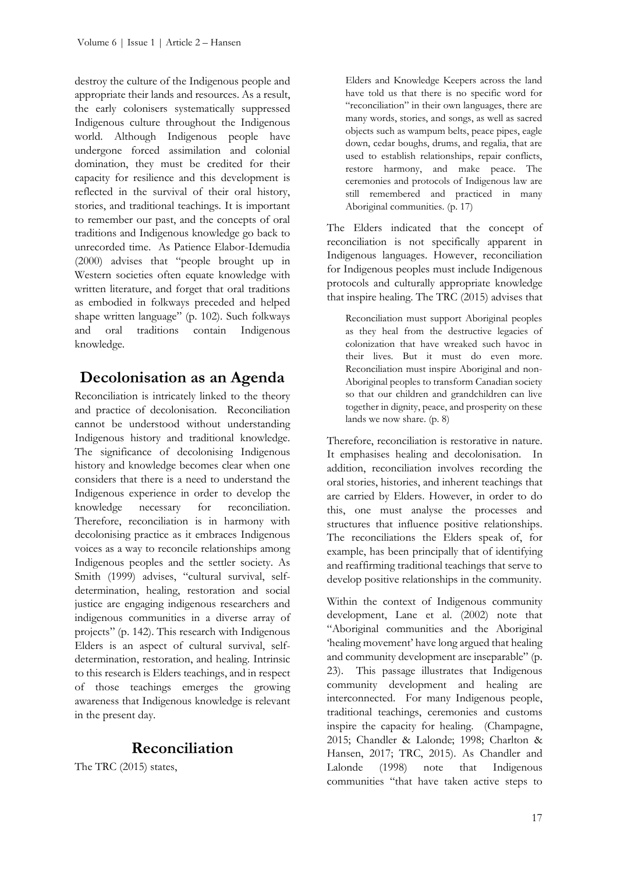destroy the culture of the Indigenous people and appropriate their lands and resources. As a result, the early colonisers systematically suppressed Indigenous culture throughout the Indigenous world. Although Indigenous people have undergone forced assimilation and colonial domination, they must be credited for their capacity for resilience and this development is reflected in the survival of their oral history, stories, and traditional teachings. It is important to remember our past, and the concepts of oral traditions and Indigenous knowledge go back to unrecorded time. As Patience Elabor-Idemudia (2000) advises that "people brought up in Western societies often equate knowledge with written literature, and forget that oral traditions as embodied in folkways preceded and helped shape written language" (p. 102). Such folkways and oral traditions contain Indigenous knowledge.

# **Decolonisation as an Agenda**

Reconciliation is intricately linked to the theory and practice of decolonisation. Reconciliation cannot be understood without understanding Indigenous history and traditional knowledge. The significance of decolonising Indigenous history and knowledge becomes clear when one considers that there is a need to understand the Indigenous experience in order to develop the knowledge necessary for reconciliation. Therefore, reconciliation is in harmony with decolonising practice as it embraces Indigenous voices as a way to reconcile relationships among Indigenous peoples and the settler society. As Smith (1999) advises, "cultural survival, selfdetermination, healing, restoration and social justice are engaging indigenous researchers and indigenous communities in a diverse array of projects" (p. 142). This research with Indigenous Elders is an aspect of cultural survival, selfdetermination, restoration, and healing. Intrinsic to this research is Elders teachings, and in respect of those teachings emerges the growing awareness that Indigenous knowledge is relevant in the present day.

# **Reconciliation**

The TRC (2015) states,

Elders and Knowledge Keepers across the land have told us that there is no specific word for "reconciliation" in their own languages, there are many words, stories, and songs, as well as sacred objects such as wampum belts, peace pipes, eagle down, cedar boughs, drums, and regalia, that are used to establish relationships, repair conflicts, restore harmony, and make peace. The ceremonies and protocols of Indigenous law are still remembered and practiced in many Aboriginal communities. (p. 17)

The Elders indicated that the concept of reconciliation is not specifically apparent in Indigenous languages. However, reconciliation for Indigenous peoples must include Indigenous protocols and culturally appropriate knowledge that inspire healing. The TRC (2015) advises that

Reconciliation must support Aboriginal peoples as they heal from the destructive legacies of colonization that have wreaked such havoc in their lives. But it must do even more. Reconciliation must inspire Aboriginal and non-Aboriginal peoples to transform Canadian society so that our children and grandchildren can live together in dignity, peace, and prosperity on these lands we now share. (p. 8)

Therefore, reconciliation is restorative in nature. It emphasises healing and decolonisation. In addition, reconciliation involves recording the oral stories, histories, and inherent teachings that are carried by Elders. However, in order to do this, one must analyse the processes and structures that influence positive relationships. The reconciliations the Elders speak of, for example, has been principally that of identifying and reaffirming traditional teachings that serve to develop positive relationships in the community.

Within the context of Indigenous community development, Lane et al. (2002) note that "Aboriginal communities and the Aboriginal 'healing movement' have long argued that healing and community development are inseparable" (p. 23). This passage illustrates that Indigenous community development and healing are interconnected. For many Indigenous people, traditional teachings, ceremonies and customs inspire the capacity for healing. (Champagne, 2015; Chandler & Lalonde; 1998; Charlton & Hansen, 2017; TRC, 2015). As Chandler and Lalonde (1998) note that Indigenous communities "that have taken active steps to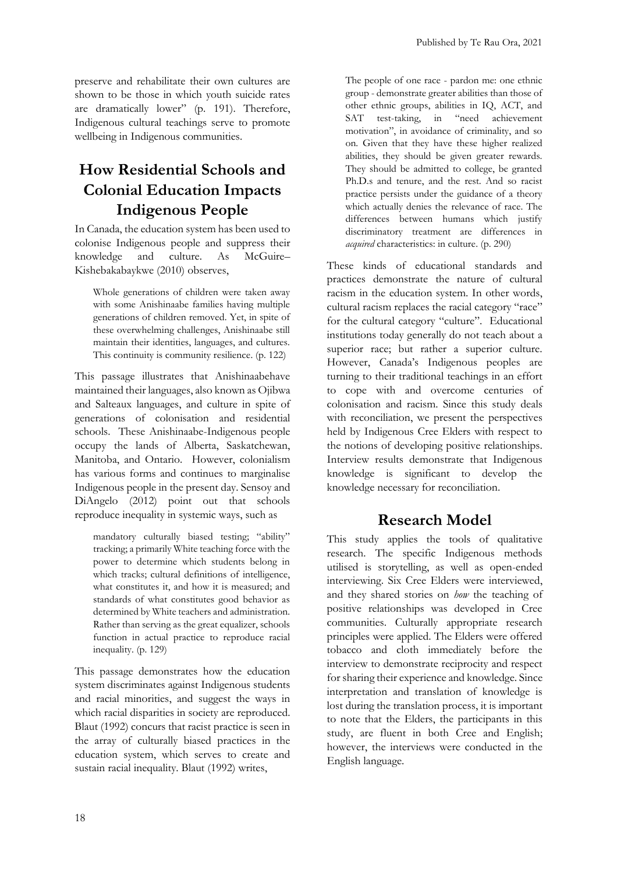preserve and rehabilitate their own cultures are shown to be those in which youth suicide rates are dramatically lower" (p. 191). Therefore, Indigenous cultural teachings serve to promote wellbeing in Indigenous communities.

# **How Residential Schools and Colonial Education Impacts Indigenous People**

In Canada, the education system has been used to colonise Indigenous people and suppress their knowledge and culture. As McGuire-Kishebakabaykwe (2010) observes,

Whole generations of children were taken away with some Anishinaabe families having multiple generations of children removed. Yet, in spite of these overwhelming challenges, Anishinaabe still maintain their identities, languages, and cultures. This continuity is community resilience. (p. 122)

This passage illustrates that Anishinaabehave maintained their languages, also known as Ojibwa and Salteaux languages, and culture in spite of generations of colonisation and residential schools. These Anishinaabe-Indigenous people occupy the lands of Alberta, Saskatchewan, Manitoba, and Ontario. However, colonialism has various forms and continues to marginalise Indigenous people in the present day. Sensoy and DiAngelo (2012) point out that schools reproduce inequality in systemic ways, such as

mandatory culturally biased testing; "ability" tracking; a primarily White teaching force with the power to determine which students belong in which tracks; cultural definitions of intelligence, what constitutes it, and how it is measured; and standards of what constitutes good behavior as determined by White teachers and administration. Rather than serving as the great equalizer, schools function in actual practice to reproduce racial inequality. (p. 129)

This passage demonstrates how the education system discriminates against Indigenous students and racial minorities, and suggest the ways in which racial disparities in society are reproduced. Blaut (1992) concurs that racist practice is seen in the array of culturally biased practices in the education system, which serves to create and sustain racial inequality. Blaut (1992) writes,

The people of one race - pardon me: one ethnic group - demonstrate greater abilities than those of other ethnic groups, abilities in IQ, ACT, and SAT test-taking, in "need achievement motivation", in avoidance of criminality, and so on. Given that they have these higher realized abilities, they should be given greater rewards. They should be admitted to college, be granted Ph.D.s and tenure, and the rest. And so racist practice persists under the guidance of a theory which actually denies the relevance of race. The differences between humans which justify discriminatory treatment are differences in *acquired* characteristics: in culture. (p. 290)

These kinds of educational standards and practices demonstrate the nature of cultural racism in the education system. In other words, cultural racism replaces the racial category "race" for the cultural category "culture". Educational institutions today generally do not teach about a superior race; but rather a superior culture. However, Canada's Indigenous peoples are turning to their traditional teachings in an effort to cope with and overcome centuries of colonisation and racism. Since this study deals with reconciliation, we present the perspectives held by Indigenous Cree Elders with respect to the notions of developing positive relationships. Interview results demonstrate that Indigenous knowledge is significant to develop the knowledge necessary for reconciliation.

# **Research Model**

This study applies the tools of qualitative research. The specific Indigenous methods utilised is storytelling, as well as open-ended interviewing. Six Cree Elders were interviewed, and they shared stories on *how* the teaching of positive relationships was developed in Cree communities. Culturally appropriate research principles were applied. The Elders were offered tobacco and cloth immediately before the interview to demonstrate reciprocity and respect for sharing their experience and knowledge. Since interpretation and translation of knowledge is lost during the translation process, it is important to note that the Elders, the participants in this study, are fluent in both Cree and English; however, the interviews were conducted in the English language.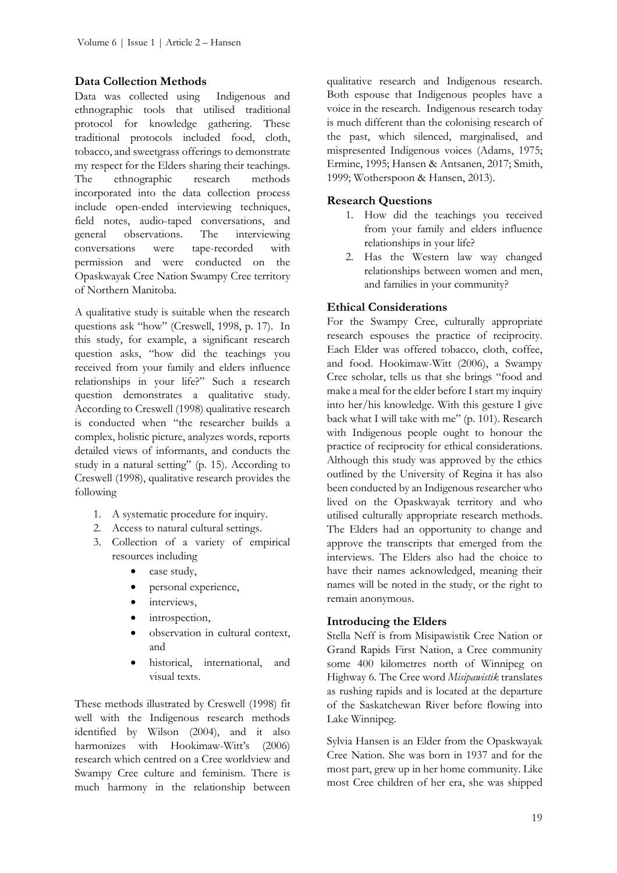#### **Data Collection Methods**

Data was collected using Indigenous and ethnographic tools that utilised traditional protocol for knowledge gathering. These traditional protocols included food, cloth, tobacco, and sweetgrass offerings to demonstrate my respect for the Elders sharing their teachings. The ethnographic research methods incorporated into the data collection process include open-ended interviewing techniques, field notes, audio-taped conversations, and general observations. The interviewing conversations were tape-recorded with permission and were conducted on the Opaskwayak Cree Nation Swampy Cree territory of Northern Manitoba.

A qualitative study is suitable when the research questions ask "how" (Creswell, 1998, p. 17). In this study, for example, a significant research question asks, "how did the teachings you received from your family and elders influence relationships in your life?" Such a research question demonstrates a qualitative study. According to Creswell (1998) qualitative research is conducted when "the researcher builds a complex, holistic picture, analyzes words, reports detailed views of informants, and conducts the study in a natural setting" (p. 15). According to Creswell (1998), qualitative research provides the following

- 1. A systematic procedure for inquiry.
- 2. Access to natural cultural settings.
- 3. Collection of a variety of empirical resources including
	- case study,
	- personal experience,
	- interviews,
	- introspection,
	- observation in cultural context, and
	- historical, international, and visual texts.

These methods illustrated by Creswell (1998) fit well with the Indigenous research methods identified by Wilson (2004), and it also harmonizes with Hookimaw-Witt's (2006) research which centred on a Cree worldview and Swampy Cree culture and feminism. There is much harmony in the relationship between

qualitative research and Indigenous research. Both espouse that Indigenous peoples have a voice in the research. Indigenous research today is much different than the colonising research of the past, which silenced, marginalised, and mispresented Indigenous voices (Adams, 1975; Ermine, 1995; Hansen & Antsanen, 2017; Smith, 1999; Wotherspoon & Hansen, 2013).

#### **Research Questions**

- 1. How did the teachings you received from your family and elders influence relationships in your life?
- 2. Has the Western law way changed relationships between women and men, and families in your community?

#### **Ethical Considerations**

For the Swampy Cree, culturally appropriate research espouses the practice of reciprocity. Each Elder was offered tobacco, cloth, coffee, and food. Hookimaw-Witt (2006), a Swampy Cree scholar, tells us that she brings "food and make a meal for the elder before I start my inquiry into her/his knowledge. With this gesture I give back what I will take with me" (p. 101). Research with Indigenous people ought to honour the practice of reciprocity for ethical considerations. Although this study was approved by the ethics outlined by the University of Regina it has also been conducted by an Indigenous researcher who lived on the Opaskwayak territory and who utilised culturally appropriate research methods. The Elders had an opportunity to change and approve the transcripts that emerged from the interviews. The Elders also had the choice to have their names acknowledged, meaning their names will be noted in the study, or the right to remain anonymous.

#### **Introducing the Elders**

Stella Neff is from Misipawistik Cree Nation or Grand Rapids First Nation, a Cree community some 400 kilometres north of Winnipeg on Highway 6. The Cree word *Misipawistik* translates as rushing rapids and is located at the departure of the Saskatchewan River before flowing into Lake Winnipeg.

Sylvia Hansen is an Elder from the Opaskwayak Cree Nation. She was born in 1937 and for the most part, grew up in her home community. Like most Cree children of her era, she was shipped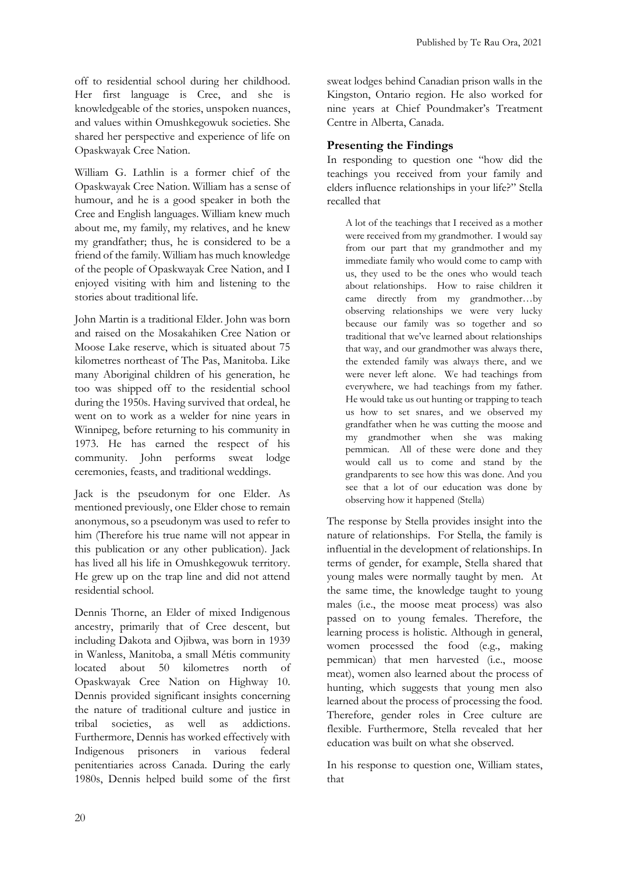off to residential school during her childhood. Her first language is Cree, and she is knowledgeable of the stories, unspoken nuances, and values within Omushkegowuk societies. She shared her perspective and experience of life on Opaskwayak Cree Nation.

William G. Lathlin is a former chief of the Opaskwayak Cree Nation. William has a sense of humour, and he is a good speaker in both the Cree and English languages. William knew much about me, my family, my relatives, and he knew my grandfather; thus, he is considered to be a friend of the family. William has much knowledge of the people of Opaskwayak Cree Nation, and I enjoyed visiting with him and listening to the stories about traditional life.

John Martin is a traditional Elder. John was born and raised on the Mosakahiken Cree Nation or Moose Lake reserve, which is situated about 75 kilometres northeast of The Pas, Manitoba. Like many Aboriginal children of his generation, he too was shipped off to the residential school during the 1950s. Having survived that ordeal, he went on to work as a welder for nine years in Winnipeg, before returning to his community in 1973. He has earned the respect of his community. John performs sweat lodge ceremonies, feasts, and traditional weddings.

Jack is the pseudonym for one Elder. As mentioned previously, one Elder chose to remain anonymous, so a pseudonym was used to refer to him (Therefore his true name will not appear in this publication or any other publication). Jack has lived all his life in Omushkegowuk territory. He grew up on the trap line and did not attend residential school.

Dennis Thorne, an Elder of mixed Indigenous ancestry, primarily that of Cree descent, but including Dakota and Ojibwa, was born in 1939 in Wanless, Manitoba, a small Métis community located about 50 kilometres north of Opaskwayak Cree Nation on Highway 10. Dennis provided significant insights concerning the nature of traditional culture and justice in tribal societies, as well as addictions. Furthermore, Dennis has worked effectively with Indigenous prisoners in various federal penitentiaries across Canada. During the early 1980s, Dennis helped build some of the first

sweat lodges behind Canadian prison walls in the Kingston, Ontario region. He also worked for nine years at Chief Poundmaker's Treatment Centre in Alberta, Canada.

### **Presenting the Findings**

In responding to question one "how did the teachings you received from your family and elders influence relationships in your life?" Stella recalled that

A lot of the teachings that I received as a mother were received from my grandmother. I would say from our part that my grandmother and my immediate family who would come to camp with us, they used to be the ones who would teach about relationships. How to raise children it came directly from my grandmother…by observing relationships we were very lucky because our family was so together and so traditional that we've learned about relationships that way, and our grandmother was always there, the extended family was always there, and we were never left alone. We had teachings from everywhere, we had teachings from my father. He would take us out hunting or trapping to teach us how to set snares, and we observed my grandfather when he was cutting the moose and my grandmother when she was making pemmican. All of these were done and they would call us to come and stand by the grandparents to see how this was done. And you see that a lot of our education was done by observing how it happened (Stella)

The response by Stella provides insight into the nature of relationships. For Stella, the family is influential in the development of relationships. In terms of gender, for example, Stella shared that young males were normally taught by men. At the same time, the knowledge taught to young males (i.e., the moose meat process) was also passed on to young females. Therefore, the learning process is holistic. Although in general, women processed the food (e.g., making pemmican) that men harvested (i.e., moose meat), women also learned about the process of hunting, which suggests that young men also learned about the process of processing the food. Therefore, gender roles in Cree culture are flexible. Furthermore, Stella revealed that her education was built on what she observed.

In his response to question one, William states, that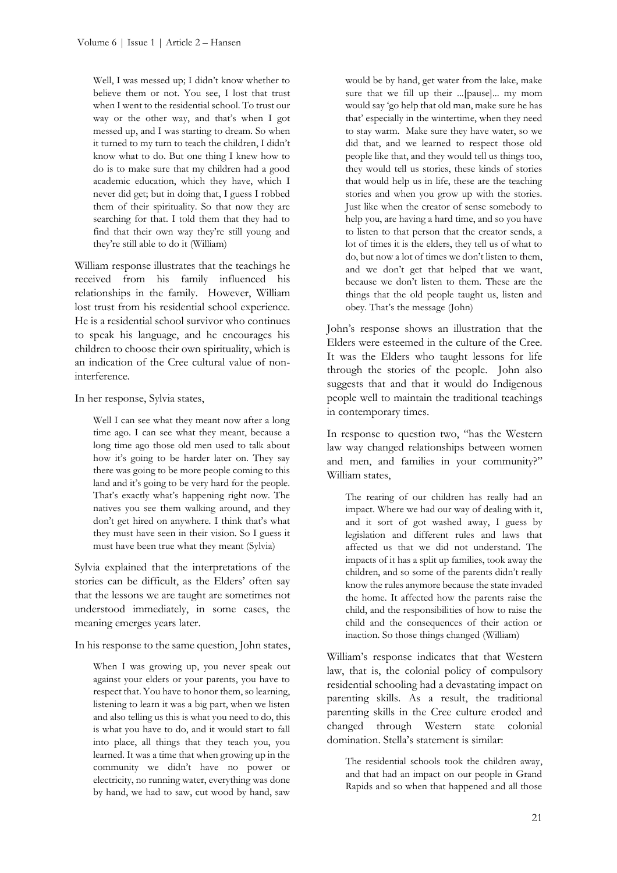Well, I was messed up; I didn't know whether to believe them or not. You see, I lost that trust when I went to the residential school. To trust our way or the other way, and that's when I got messed up, and I was starting to dream. So when it turned to my turn to teach the children, I didn't know what to do. But one thing I knew how to do is to make sure that my children had a good academic education, which they have, which I never did get; but in doing that, I guess I robbed them of their spirituality. So that now they are searching for that. I told them that they had to find that their own way they're still young and they're still able to do it (William)

William response illustrates that the teachings he received from his family influenced his relationships in the family. However, William lost trust from his residential school experience. He is a residential school survivor who continues to speak his language, and he encourages his children to choose their own spirituality, which is an indication of the Cree cultural value of noninterference.

In her response, Sylvia states,

Well I can see what they meant now after a long time ago. I can see what they meant, because a long time ago those old men used to talk about how it's going to be harder later on. They say there was going to be more people coming to this land and it's going to be very hard for the people. That's exactly what's happening right now. The natives you see them walking around, and they don't get hired on anywhere. I think that's what they must have seen in their vision. So I guess it must have been true what they meant (Sylvia)

Sylvia explained that the interpretations of the stories can be difficult, as the Elders' often say that the lessons we are taught are sometimes not understood immediately, in some cases, the meaning emerges years later.

In his response to the same question, John states,

When I was growing up, you never speak out against your elders or your parents, you have to respect that. You have to honor them, so learning, listening to learn it was a big part, when we listen and also telling us this is what you need to do, this is what you have to do, and it would start to fall into place, all things that they teach you, you learned. It was a time that when growing up in the community we didn't have no power or electricity, no running water, everything was done by hand, we had to saw, cut wood by hand, saw would be by hand, get water from the lake, make sure that we fill up their ...[pause]... my mom would say 'go help that old man, make sure he has that' especially in the wintertime, when they need to stay warm. Make sure they have water, so we did that, and we learned to respect those old people like that, and they would tell us things too, they would tell us stories, these kinds of stories that would help us in life, these are the teaching stories and when you grow up with the stories. Just like when the creator of sense somebody to help you, are having a hard time, and so you have to listen to that person that the creator sends, a lot of times it is the elders, they tell us of what to do, but now a lot of times we don't listen to them, and we don't get that helped that we want, because we don't listen to them. These are the things that the old people taught us, listen and obey. That's the message (John)

John's response shows an illustration that the Elders were esteemed in the culture of the Cree. It was the Elders who taught lessons for life through the stories of the people. John also suggests that and that it would do Indigenous people well to maintain the traditional teachings in contemporary times.

In response to question two, "has the Western law way changed relationships between women and men, and families in your community?" William states,

The rearing of our children has really had an impact. Where we had our way of dealing with it, and it sort of got washed away, I guess by legislation and different rules and laws that affected us that we did not understand. The impacts of it has a split up families, took away the children, and so some of the parents didn't really know the rules anymore because the state invaded the home. It affected how the parents raise the child, and the responsibilities of how to raise the child and the consequences of their action or inaction. So those things changed (William)

William's response indicates that that Western law, that is, the colonial policy of compulsory residential schooling had a devastating impact on parenting skills. As a result, the traditional parenting skills in the Cree culture eroded and changed through Western state colonial domination. Stella's statement is similar:

The residential schools took the children away, and that had an impact on our people in Grand Rapids and so when that happened and all those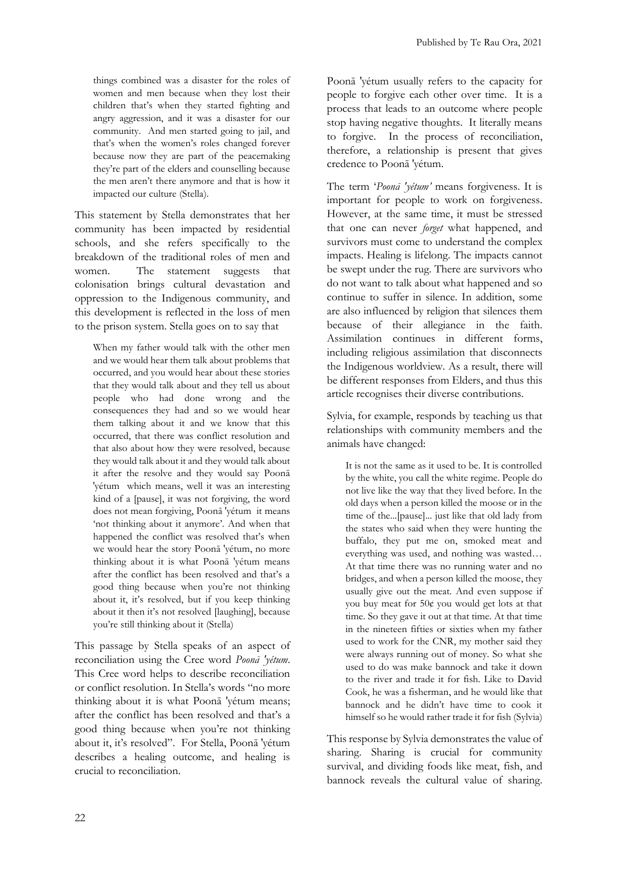things combined was a disaster for the roles of women and men because when they lost their children that's when they started fighting and angry aggression, and it was a disaster for our community. And men started going to jail, and that's when the women's roles changed forever because now they are part of the peacemaking they're part of the elders and counselling because the men aren't there anymore and that is how it impacted our culture (Stella).

This statement by Stella demonstrates that her community has been impacted by residential schools, and she refers specifically to the breakdown of the traditional roles of men and women. The statement suggests that colonisation brings cultural devastation and oppression to the Indigenous community, and this development is reflected in the loss of men to the prison system. Stella goes on to say that

When my father would talk with the other men and we would hear them talk about problems that occurred, and you would hear about these stories that they would talk about and they tell us about people who had done wrong and the consequences they had and so we would hear them talking about it and we know that this occurred, that there was conflict resolution and that also about how they were resolved, because they would talk about it and they would talk about it after the resolve and they would say Poonā ′yétum which means, well it was an interesting kind of a [pause], it was not forgiving, the word does not mean forgiving, Poonā ′yétum it means 'not thinking about it anymore'. And when that happened the conflict was resolved that's when we would hear the story Poonā ′yétum, no more thinking about it is what Poonā ′yétum means after the conflict has been resolved and that's a good thing because when you're not thinking about it, it's resolved, but if you keep thinking about it then it's not resolved [laughing], because you're still thinking about it (Stella)

This passage by Stella speaks of an aspect of reconciliation using the Cree word *Poonā ′yétum*. This Cree word helps to describe reconciliation or conflict resolution. In Stella's words "no more thinking about it is what Poonā ′yétum means; after the conflict has been resolved and that's a good thing because when you're not thinking about it, it's resolved". For Stella, Poonā ′yétum describes a healing outcome, and healing is crucial to reconciliation.

Poonā ′yétum usually refers to the capacity for people to forgive each other over time. It is a process that leads to an outcome where people stop having negative thoughts. It literally means to forgive. In the process of reconciliation, therefore, a relationship is present that gives credence to Poonā ′yétum.

The term '*Poonā ′yétum'* means forgiveness. It is important for people to work on forgiveness. However, at the same time, it must be stressed that one can never *forget* what happened, and survivors must come to understand the complex impacts. Healing is lifelong. The impacts cannot be swept under the rug. There are survivors who do not want to talk about what happened and so continue to suffer in silence. In addition, some are also influenced by religion that silences them because of their allegiance in the faith. Assimilation continues in different forms, including religious assimilation that disconnects the Indigenous worldview. As a result, there will be different responses from Elders, and thus this article recognises their diverse contributions.

Sylvia, for example, responds by teaching us that relationships with community members and the animals have changed:

It is not the same as it used to be. It is controlled by the white, you call the white regime. People do not live like the way that they lived before. In the old days when a person killed the moose or in the time of the...[pause]... just like that old lady from the states who said when they were hunting the buffalo, they put me on, smoked meat and everything was used, and nothing was wasted… At that time there was no running water and no bridges, and when a person killed the moose, they usually give out the meat. And even suppose if you buy meat for 50¢ you would get lots at that time. So they gave it out at that time. At that time in the nineteen fifties or sixties when my father used to work for the CNR, my mother said they were always running out of money. So what she used to do was make bannock and take it down to the river and trade it for fish. Like to David Cook, he was a fisherman, and he would like that bannock and he didn't have time to cook it himself so he would rather trade it for fish (Sylvia)

This response by Sylvia demonstrates the value of sharing. Sharing is crucial for community survival, and dividing foods like meat, fish, and bannock reveals the cultural value of sharing.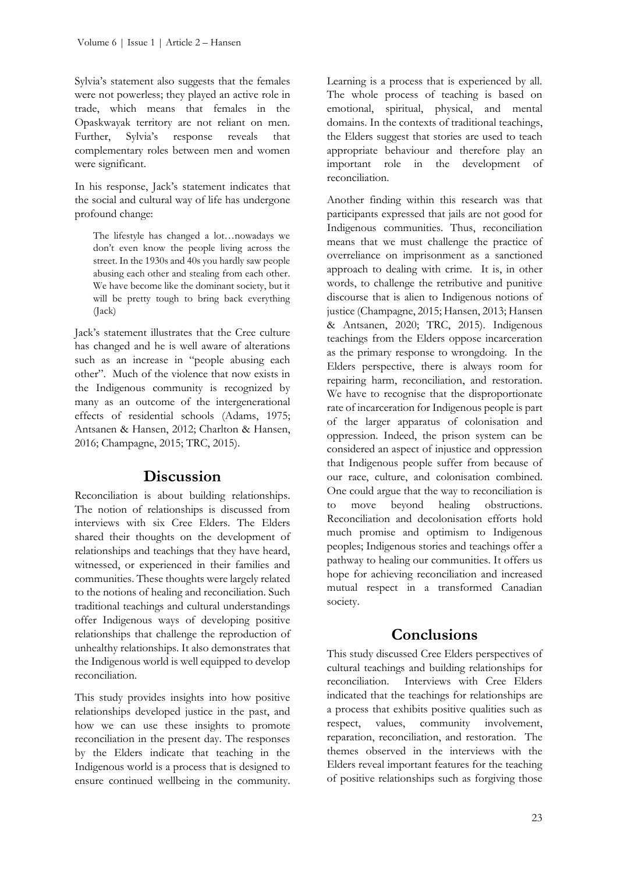Sylvia's statement also suggests that the females were not powerless; they played an active role in trade, which means that females in the Opaskwayak territory are not reliant on men. Further, Sylvia's response reveals that complementary roles between men and women were significant.

In his response, Jack's statement indicates that the social and cultural way of life has undergone profound change:

The lifestyle has changed a lot…nowadays we don't even know the people living across the street. In the 1930s and 40s you hardly saw people abusing each other and stealing from each other. We have become like the dominant society, but it will be pretty tough to bring back everything (Jack)

Jack's statement illustrates that the Cree culture has changed and he is well aware of alterations such as an increase in "people abusing each other". Much of the violence that now exists in the Indigenous community is recognized by many as an outcome of the intergenerational effects of residential schools (Adams, 1975; Antsanen & Hansen, 2012; Charlton & Hansen, 2016; Champagne, 2015; TRC, 2015).

## **Discussion**

Reconciliation is about building relationships. The notion of relationships is discussed from interviews with six Cree Elders. The Elders shared their thoughts on the development of relationships and teachings that they have heard, witnessed, or experienced in their families and communities. These thoughts were largely related to the notions of healing and reconciliation. Such traditional teachings and cultural understandings offer Indigenous ways of developing positive relationships that challenge the reproduction of unhealthy relationships. It also demonstrates that the Indigenous world is well equipped to develop reconciliation.

This study provides insights into how positive relationships developed justice in the past, and how we can use these insights to promote reconciliation in the present day. The responses by the Elders indicate that teaching in the Indigenous world is a process that is designed to ensure continued wellbeing in the community. Learning is a process that is experienced by all. The whole process of teaching is based on emotional, spiritual, physical, and mental domains. In the contexts of traditional teachings, the Elders suggest that stories are used to teach appropriate behaviour and therefore play an important role in the development of reconciliation.

Another finding within this research was that participants expressed that jails are not good for Indigenous communities. Thus, reconciliation means that we must challenge the practice of overreliance on imprisonment as a sanctioned approach to dealing with crime. It is, in other words, to challenge the retributive and punitive discourse that is alien to Indigenous notions of justice (Champagne, 2015; Hansen, 2013; Hansen & Antsanen, 2020; TRC, 2015). Indigenous teachings from the Elders oppose incarceration as the primary response to wrongdoing. In the Elders perspective, there is always room for repairing harm, reconciliation, and restoration. We have to recognise that the disproportionate rate of incarceration for Indigenous people is part of the larger apparatus of colonisation and oppression. Indeed, the prison system can be considered an aspect of injustice and oppression that Indigenous people suffer from because of our race, culture, and colonisation combined. One could argue that the way to reconciliation is to move beyond healing obstructions. Reconciliation and decolonisation efforts hold much promise and optimism to Indigenous peoples; Indigenous stories and teachings offer a pathway to healing our communities. It offers us hope for achieving reconciliation and increased mutual respect in a transformed Canadian society.

# **Conclusions**

This study discussed Cree Elders perspectives of cultural teachings and building relationships for reconciliation. Interviews with Cree Elders indicated that the teachings for relationships are a process that exhibits positive qualities such as respect, values, community involvement, reparation, reconciliation, and restoration. The themes observed in the interviews with the Elders reveal important features for the teaching of positive relationships such as forgiving those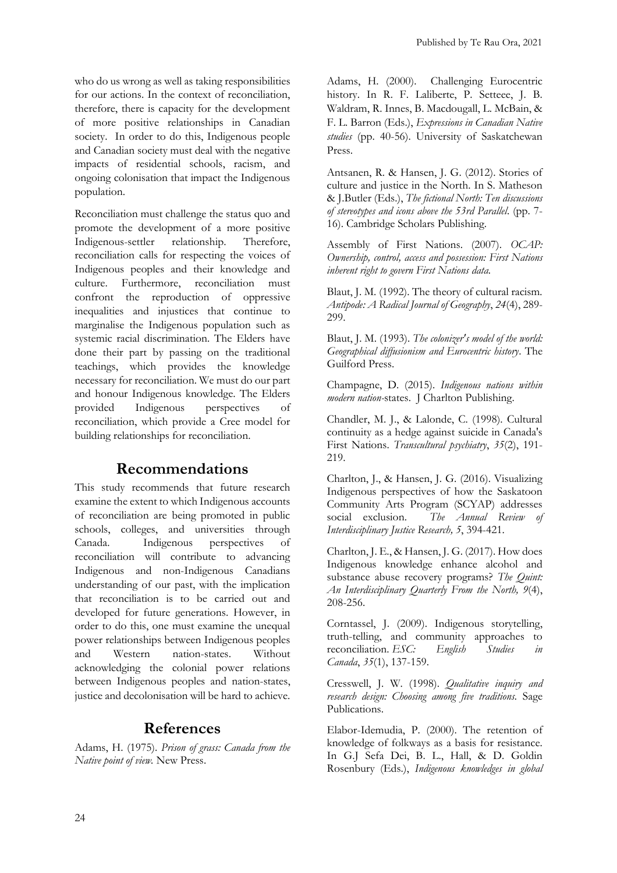who do us wrong as well as taking responsibilities for our actions. In the context of reconciliation, therefore, there is capacity for the development of more positive relationships in Canadian society. In order to do this, Indigenous people and Canadian society must deal with the negative impacts of residential schools, racism, and ongoing colonisation that impact the Indigenous population.

Reconciliation must challenge the status quo and promote the development of a more positive Indigenous-settler relationship. Therefore, reconciliation calls for respecting the voices of Indigenous peoples and their knowledge and culture. Furthermore, reconciliation must confront the reproduction of oppressive inequalities and injustices that continue to marginalise the Indigenous population such as systemic racial discrimination. The Elders have done their part by passing on the traditional teachings, which provides the knowledge necessary for reconciliation. We must do our part and honour Indigenous knowledge. The Elders provided Indigenous perspectives of reconciliation, which provide a Cree model for building relationships for reconciliation.

## **Recommendations**

This study recommends that future research examine the extent to which Indigenous accounts of reconciliation are being promoted in public schools, colleges, and universities through Canada. Indigenous perspectives of reconciliation will contribute to advancing Indigenous and non-Indigenous Canadians understanding of our past, with the implication that reconciliation is to be carried out and developed for future generations. However, in order to do this, one must examine the unequal power relationships between Indigenous peoples and Western nation-states. Without acknowledging the colonial power relations between Indigenous peoples and nation-states, justice and decolonisation will be hard to achieve.

## **References**

Adams, H. (1975). *Prison of grass: Canada from the Native point of view.* New Press.

Adams, H. (2000). Challenging Eurocentric history. In R. F. Laliberte, P. Setteee, J. B. Waldram, R. Innes, B. Macdougall, L. McBain, & F. L. Barron (Eds.), *Expressions in Canadian Native studies* (pp. 40-56). University of Saskatchewan Press.

Antsanen, R. & Hansen, J. G. (2012). Stories of culture and justice in the North. In S. Matheson & J.Butler (Eds.), *The fictional North: Ten discussions of stereotypes and icons above the 53rd Parallel*. (pp. 7- 16). Cambridge Scholars Publishing.

Assembly of First Nations. (2007). *OCAP: Ownership, control, access and possession: First Nations inherent right to govern First Nations data.* 

Blaut, J. M. (1992). The theory of cultural racism*. Antipode: A Radical Journal of Geography*, *24*(4), 289- 299.

Blaut, J. M. (1993). *The colonizer's model of the world: Geographical diffusionism and Eurocentric history*. The Guilford Press.

Champagne, D. (2015). *Indigenous nations within modern nation-*states. J Charlton Publishing.

Chandler, M. J., & Lalonde, C. (1998). Cultural continuity as a hedge against suicide in Canada's First Nations. *Transcultural psychiatry*, *35*(2), 191- 219.

Charlton, J., & Hansen, J. G. (2016). Visualizing Indigenous perspectives of how the Saskatoon Community Arts Program (SCYAP) addresses social exclusion. *The Annual Review of Interdisciplinary Justice Research, 5*, 394-421.

Charlton, J. E., & Hansen, J. G. (2017). How does Indigenous knowledge enhance alcohol and substance abuse recovery programs? *The Quint: An Interdisciplinary Quarterly From the North, 9*(4), 208-256.

Corntassel, J. (2009). Indigenous storytelling, truth-telling, and community approaches to reconciliation. *ESC: English Studies in Canada*, *35*(1), 137-159.

Cresswell, J. W. (1998). *Qualitative inquiry and research design: Choosing among five traditions.* Sage Publications.

Elabor-Idemudia, P. (2000). The retention of knowledge of folkways as a basis for resistance. In G.J Sefa Dei, B. L., Hall, & D. Goldin Rosenbury (Eds.), *Indigenous knowledges in global*